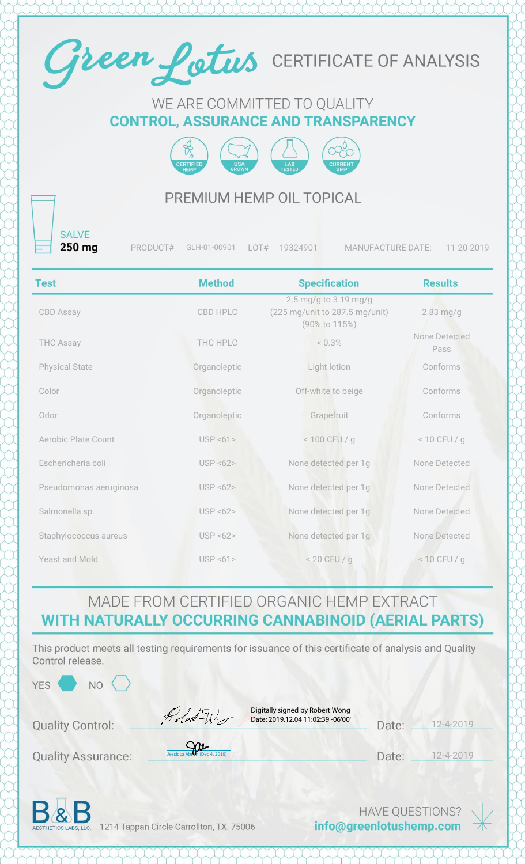

#### WE ARE COMMITTED TO QUALITY **CONTROL, ASSURANCE AND TRANSPARENCY**



### PREMIUM HEMP OIL TOPICAL

**SALVE** 250 mg

PRODUCT# GLH-01-00901 LOT# 19324901 MANUFACTURE DATE: 11-20-2019

| <b>Test</b>            | <b>Method</b> | <b>Specification</b>                                                     | <b>Results</b>        |
|------------------------|---------------|--------------------------------------------------------------------------|-----------------------|
| CBD Assay              | CBD HPLC      | 2.5 mg/g to 3.19 mg/g<br>(225 mg/unit to 287.5 mg/unit)<br>(90% to 115%) | $2.83$ mg/g           |
| <b>THC Assay</b>       | THC HPLC      | < 0.3%                                                                   | None Detected<br>Pass |
| <b>Physical State</b>  | Organoleptic  | Light lotion                                                             | Conforms              |
| Color                  | Organoleptic  | Off-white to beige                                                       | Conforms              |
| Odor                   | Organoleptic  | Grapefruit                                                               | Conforms              |
| Aerobic Plate Count    | USP < 61      | $< 100$ CFU / g                                                          | $< 10$ CFU / g        |
| Eschericheria coli     | USP < 62      | None detected per 1g                                                     | None Detected         |
| Pseudomonas aeruginosa | USP < 62      | None detected per 1g                                                     | None Detected         |
| Salmonella sp.         | USP < 62      | None detected per 1g                                                     | None Detected         |
| Staphylococcus aureus  | USP < 62      | None detected per 1g                                                     | None Detected         |
| Yeast and Mold         | USP < 61      | $< 20$ CFU / g                                                           | $< 10$ CFU / g        |

### MADE FROM CERTIFIED ORGANIC HEMP EXTRACT WITH NATURALLY OCCURRING CANNABINOID (AERIAL PARTS)

This product meets all testing requirements for issuance of this certificate of analysis and Quality Control release.

 $NO<$ 

Robert Wo

Digitally signed by Robert Wong Date: 2019.12.04 11:02:39 -06'00'

| Date: | $12 - 4 - 2019$ |
|-------|-----------------|
|       |                 |

**Quality Assurance:** 

**Quality Control:** 

| $\mathbf{v}$                 |  |
|------------------------------|--|
| Jessicca Abron (Dec 4, 2019) |  |

Date: \_\_ 12-4-2019



1214 Tappan Circle Carrollton, TX. 75006

**HAVE QUESTIONS?** info@greenlotushemp.com